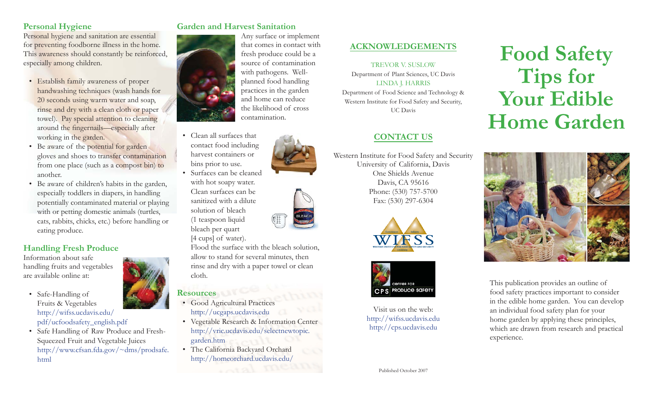## **Personal Hygiene**

Personal hygiene and sanitation are essential for preventing foodborne illness in the home. This awareness should constantly be reinforced, especially among children.

- Establish family awareness of proper handwashing techniques (wash hands for 20 seconds using warm water and soap, rinse and dry with a clean cloth or paper towel). Pay special attention to cleaning around the fingernails—especially after working in the garden.
- Be aware of the potential for garden gloves and shoes to transfer contamination from one place (such as a compost bin) to another.
- Be aware of children's habits in the garden, especially toddlers in diapers, in handling potentially contaminated material or playing with or petting domestic animals (turtles, cats, rabbits, chicks, etc.) before handling or eating produce.

## **Handling Fresh Produce**

Information about safe handling fruits and vegetables are available online at:

- Safe-Handling of Fruits & Vegetables http://wifss.ucdavis.edu/ pdf/ucfoodsafety\_english.pdf
- Safe Handling of Raw Produce and Fresh-Squeezed Fruit and Vegetable Juices http://www.cfsan.fda.gov/~dms/prodsafe. html

## **Garden and Harvest Sanitation**



- the likelihood of cross contamination. • Clean all surfaces that contact food including harvest containers or bins prior to use.
- Surfaces can be cleaned with hot soapy water. Clean surfaces can be sanitized with a dilute solution of bleach (1 teaspoon liquid bleach per quart

[4 cups] of water).

Flood the surface with the bleach solution, allow to stand for several minutes, then rinse and dry with a paper towel or clean cloth.

## **Resources**

- Good Agricultural Practices http://ucgaps.ucdavis.edu
- Vegetable Research & Information Center http://vric.ucdavis.edu/selectnewtopic. garden.htm
- The California Backyard Orchard http://homeorchard.ucdavis.edu/





 $(\!\!\!\!\![\,\,]\,\!\!\!\!]\,\,\,[\,\,]$ 



## **ACKNOWLEDGEMENTS**

TREVOR V. SUSLOW Department of Plant Sciences, UC Davis LINDA J. HARRIS Department of Food Science and Technology & Western Institute for Food Safety and Security, UC Davis

## **CONTACT US**

Western Institute for Food Safety and Security University of California, Davis One Shields AvenueDavis, CA 95616 Phone: (530) 757-5700 Fax: (530) 297-6304





Visit us on the web: http://wifss.ucdavis.edu http://cps.ucdavis.edu

# **Food Safety Tips for Your Edible Home Garden**



This publication provides an outline of food safety practices important to consider in the edible home garden. You can develop an individual food safety plan for your home garden by applying these principles, which are drawn from research and practical experience.